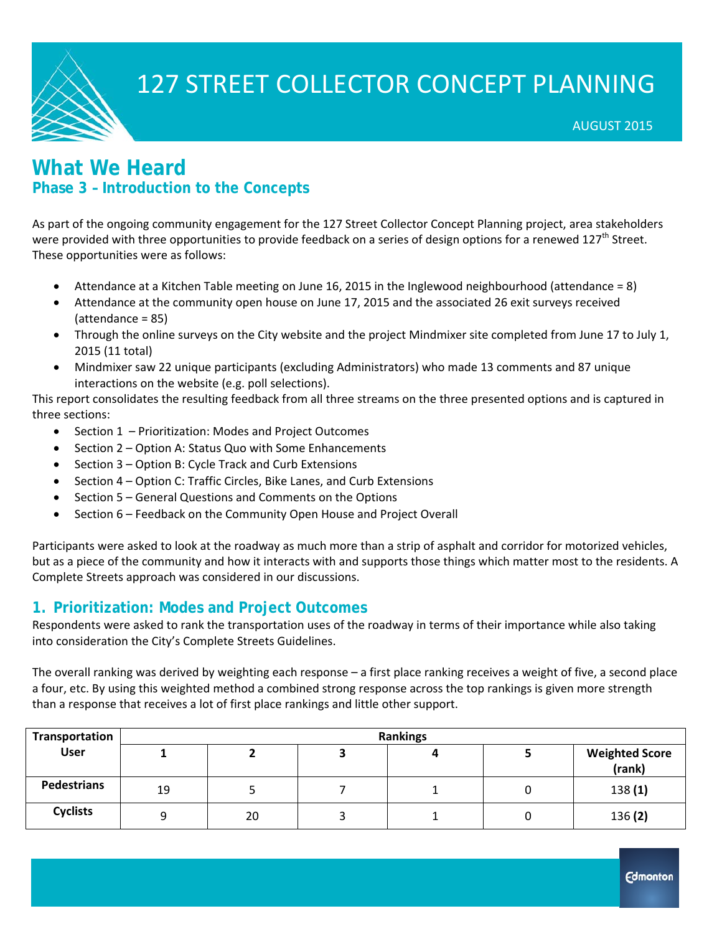

### **What We Heard Phase 3 – Introduction to the Concepts**

As part of the ongoing community engagement for the 127 Street Collector Concept Planning project, area stakeholders were provided with three opportunities to provide feedback on a series of design options for a renewed 127<sup>th</sup> Street. These opportunities were as follows:

- Attendance at a Kitchen Table meeting on June 16, 2015 in the Inglewood neighbourhood (attendance = 8)
- Attendance at the community open house on June 17, 2015 and the associated 26 exit surveys received (attendance = 85)
- Through the online surveys on the City website and the project Mindmixer site completed from June 17 to July 1, 2015 (11 total)
- Mindmixer saw 22 unique participants (excluding Administrators) who made 13 comments and 87 unique interactions on the website (e.g. poll selections).

This report consolidates the resulting feedback from all three streams on the three presented options and is captured in three sections:

- Section 1 Prioritization: Modes and Project Outcomes
- Section 2 Option A: Status Quo with Some Enhancements
- Section 3 Option B: Cycle Track and Curb Extensions
- Section 4 Option C: Traffic Circles, Bike Lanes, and Curb Extensions
- Section 5 General Questions and Comments on the Options
- Section 6 Feedback on the Community Open House and Project Overall

Participants were asked to look at the roadway as much more than a strip of asphalt and corridor for motorized vehicles, but as a piece of the community and how it interacts with and supports those things which matter most to the residents. A Complete Streets approach was considered in our discussions.

### **1. Prioritization: Modes and Project Outcomes**

Respondents were asked to rank the transportation uses of the roadway in terms of their importance while also taking into consideration the City's Complete Streets Guidelines.

The overall ranking was derived by weighting each response – a first place ranking receives a weight of five, a second place a four, etc. By using this weighted method a combined strong response across the top rankings is given more strength than a response that receives a lot of first place rankings and little other support.

| Transportation     | <b>Rankings</b> |    |  |  |  |                                 |  |
|--------------------|-----------------|----|--|--|--|---------------------------------|--|
| <b>User</b>        |                 |    |  |  |  | <b>Weighted Score</b><br>(rank) |  |
| <b>Pedestrians</b> | 19              |    |  |  |  | 138(1)                          |  |
| <b>Cyclists</b>    |                 | 20 |  |  |  | 136(2)                          |  |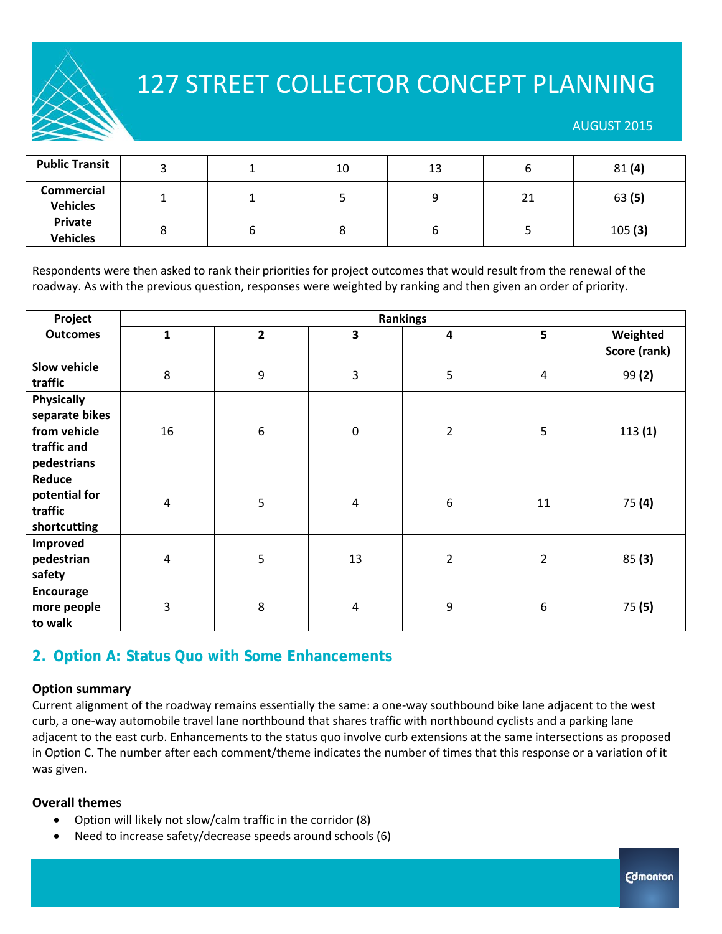#### AUGUST 2015

| <b>Public Transit</b>                |   | 10 | 13 |    | 81(4)  |
|--------------------------------------|---|----|----|----|--------|
| <b>Commercial</b><br><b>Vehicles</b> |   |    | c  | 21 | 63 (5) |
| <b>Private</b><br><b>Vehicles</b>    | o |    |    |    | 105(3) |

Respondents were then asked to rank their priorities for project outcomes that would result from the renewal of the roadway. As with the previous question, responses were weighted by ranking and then given an order of priority.

| Project                                                                           | <b>Rankings</b> |                         |                |                         |                |              |  |
|-----------------------------------------------------------------------------------|-----------------|-------------------------|----------------|-------------------------|----------------|--------------|--|
| <b>Outcomes</b>                                                                   | $\mathbf{1}$    | $\overline{\mathbf{2}}$ | 3              | $\overline{\mathbf{4}}$ | 5              | Weighted     |  |
|                                                                                   |                 |                         |                |                         |                | Score (rank) |  |
| Slow vehicle<br>traffic                                                           | 8               | $\boldsymbol{9}$        | 3              | 5                       | $\overline{4}$ | 99(2)        |  |
| <b>Physically</b><br>separate bikes<br>from vehicle<br>traffic and<br>pedestrians | 16              | $\boldsymbol{6}$        | $\pmb{0}$      | $\overline{2}$          | 5              | 113(1)       |  |
| Reduce<br>potential for<br>traffic<br>shortcutting                                | 4               | 5                       | $\overline{4}$ | $\boldsymbol{6}$        | 11             | 75(4)        |  |
| <b>Improved</b><br>pedestrian<br>safety                                           | $\overline{4}$  | 5                       | 13             | $\overline{2}$          | $\overline{2}$ | 85(3)        |  |
| Encourage<br>more people<br>to walk                                               | 3               | 8                       | 4              | 9                       | 6              | 75(5)        |  |

### **2. Option A: Status Quo with Some Enhancements**

#### **Option summary**

Current alignment of the roadway remains essentially the same: a one‐way southbound bike lane adjacent to the west curb, a one‐way automobile travel lane northbound that shares traffic with northbound cyclists and a parking lane adjacent to the east curb. Enhancements to the status quo involve curb extensions at the same intersections as proposed in Option C. The number after each comment/theme indicates the number of times that this response or a variation of it was given.

#### **Overall themes**

- Option will likely not slow/calm traffic in the corridor (8)
- Need to increase safety/decrease speeds around schools (6)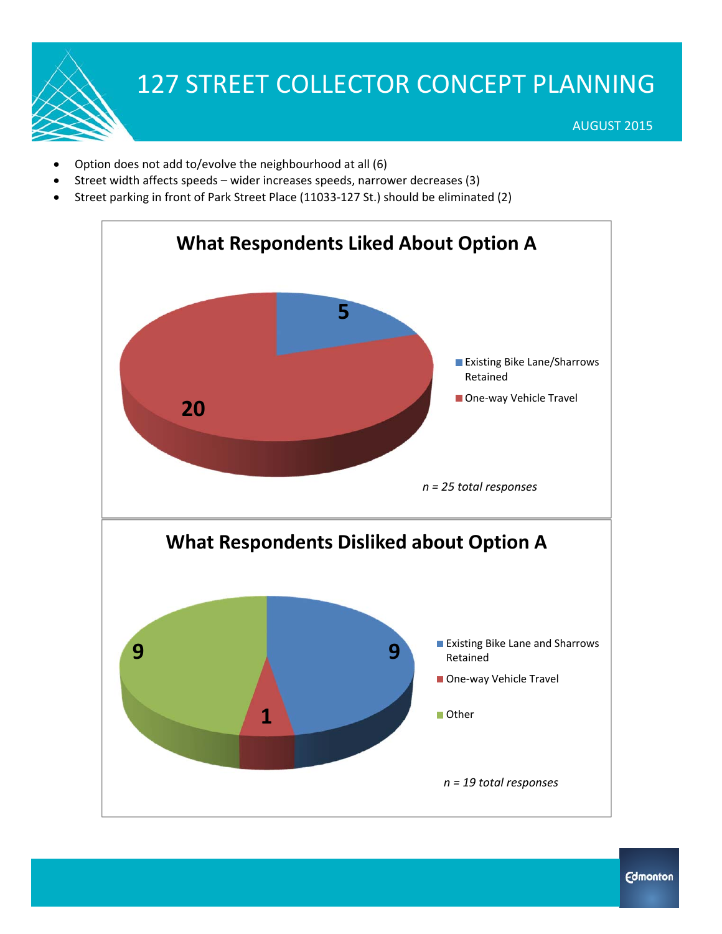- Option does not add to/evolve the neighbourhood at all (6)
- Street width affects speeds wider increases speeds, narrower decreases (3)
- Street parking in front of Park Street Place (11033‐127 St.) should be eliminated (2)

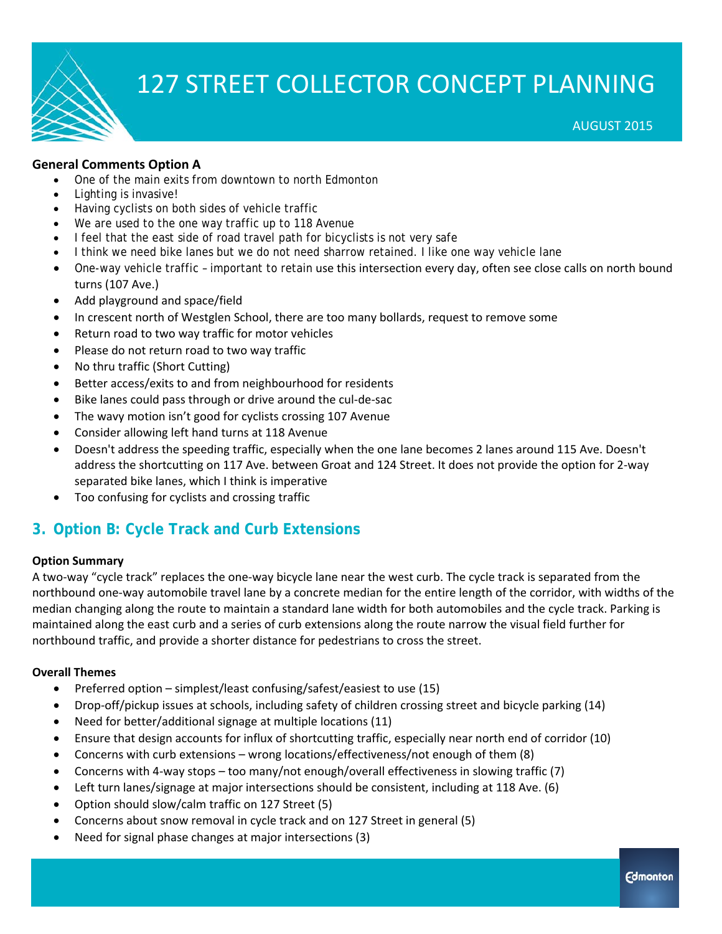

### **General Comments Option A**

- One of the main exits from downtown to north Edmonton
- Lighting is invasive!
- Having cyclists on both sides of vehicle traffic
- We are used to the one way traffic up to 118 Avenue
- I feel that the east side of road travel path for bicyclists is not very safe
- I think we need bike lanes but we do not need sharrow retained. I like one way vehicle lane
- One-way vehicle traffic important to retain use this intersection every day, often see close calls on north bound turns (107 Ave.)
- Add playground and space/field
- In crescent north of Westglen School, there are too many bollards, request to remove some
- Return road to two way traffic for motor vehicles
- Please do not return road to two way traffic
- No thru traffic (Short Cutting)
- Better access/exits to and from neighbourhood for residents
- Bike lanes could pass through or drive around the cul-de-sac
- The wavy motion isn't good for cyclists crossing 107 Avenue
- Consider allowing left hand turns at 118 Avenue
- Doesn't address the speeding traffic, especially when the one lane becomes 2 lanes around 115 Ave. Doesn't address the shortcutting on 117 Ave. between Groat and 124 Street. It does not provide the option for 2‐way separated bike lanes, which I think is imperative
- Too confusing for cyclists and crossing traffic

### **3. Option B: Cycle Track and Curb Extensions**

#### **Option Summary**

A two‐way "cycle track" replaces the one‐way bicycle lane near the west curb. The cycle track is separated from the northbound one‐way automobile travel lane by a concrete median for the entire length of the corridor, with widths of the median changing along the route to maintain a standard lane width for both automobiles and the cycle track. Parking is maintained along the east curb and a series of curb extensions along the route narrow the visual field further for northbound traffic, and provide a shorter distance for pedestrians to cross the street.

#### **Overall Themes**

- Preferred option simplest/least confusing/safest/easiest to use  $(15)$
- Drop-off/pickup issues at schools, including safety of children crossing street and bicycle parking (14)
- Need for better/additional signage at multiple locations (11)
- Ensure that design accounts for influx of shortcutting traffic, especially near north end of corridor (10)
- Concerns with curb extensions wrong locations/effectiveness/not enough of them (8)
- Concerns with 4-way stops too many/not enough/overall effectiveness in slowing traffic (7)
- Left turn lanes/signage at major intersections should be consistent, including at 118 Ave. (6)
- Option should slow/calm traffic on 127 Street (5)
- Concerns about snow removal in cycle track and on 127 Street in general (5)
- Need for signal phase changes at major intersections (3)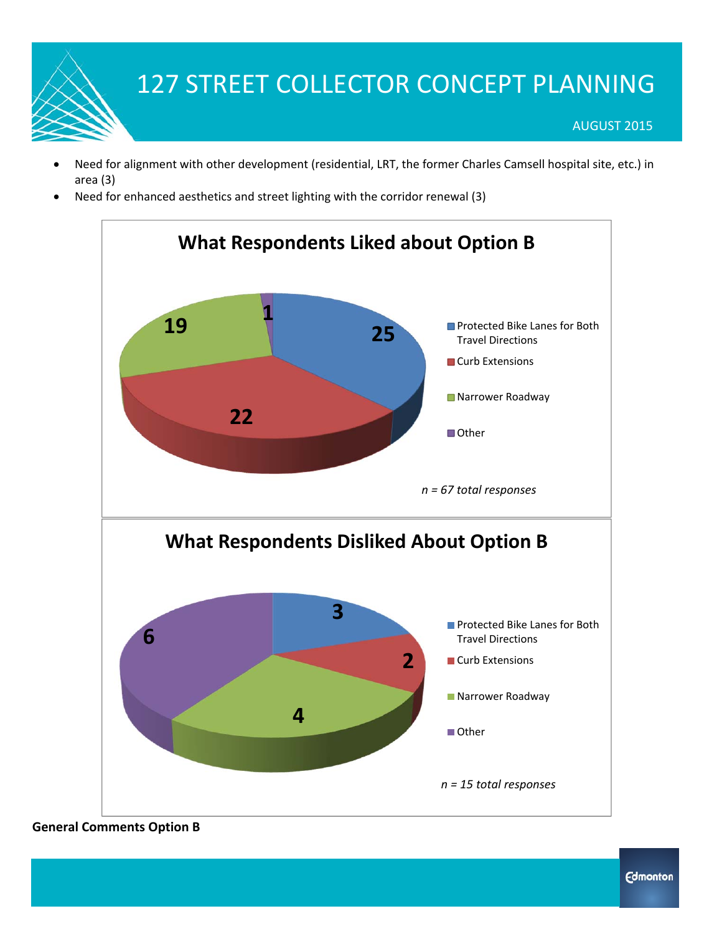- Need for alignment with other development (residential, LRT, the former Charles Camsell hospital site, etc.) in area (3)
- Need for enhanced aesthetics and street lighting with the corridor renewal (3)



### **General Comments Option B**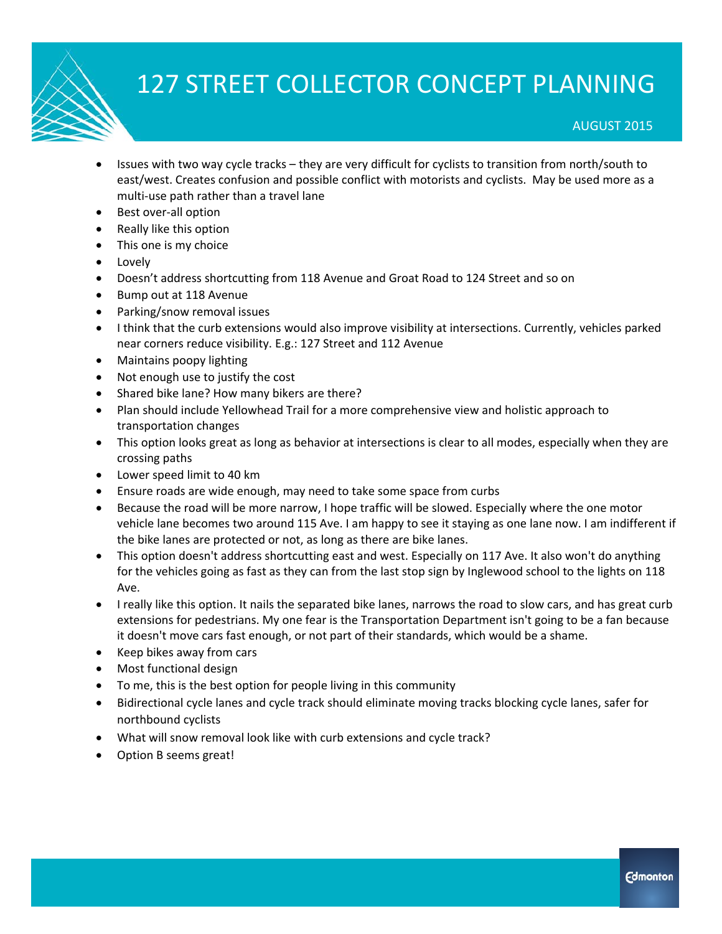#### AUGUST 2015

- Issues with two way cycle tracks they are very difficult for cyclists to transition from north/south to east/west. Creates confusion and possible conflict with motorists and cyclists. May be used more as a multi‐use path rather than a travel lane
- Best over-all option
- Really like this option
- This one is my choice
- Lovely
- Doesn't address shortcutting from 118 Avenue and Groat Road to 124 Street and so on
- Bump out at 118 Avenue
- Parking/snow removal issues
- I think that the curb extensions would also improve visibility at intersections. Currently, vehicles parked near corners reduce visibility. E.g.: 127 Street and 112 Avenue
- Maintains poopy lighting
- Not enough use to justify the cost
- Shared bike lane? How many bikers are there?
- Plan should include Yellowhead Trail for a more comprehensive view and holistic approach to transportation changes
- This option looks great as long as behavior at intersections is clear to all modes, especially when they are crossing paths
- Lower speed limit to 40 km
- Ensure roads are wide enough, may need to take some space from curbs
- Because the road will be more narrow, I hope traffic will be slowed. Especially where the one motor vehicle lane becomes two around 115 Ave. I am happy to see it staying as one lane now. I am indifferent if the bike lanes are protected or not, as long as there are bike lanes.
- This option doesn't address shortcutting east and west. Especially on 117 Ave. It also won't do anything for the vehicles going as fast as they can from the last stop sign by Inglewood school to the lights on 118 Ave.
- I really like this option. It nails the separated bike lanes, narrows the road to slow cars, and has great curb extensions for pedestrians. My one fear is the Transportation Department isn't going to be a fan because it doesn't move cars fast enough, or not part of their standards, which would be a shame.
- Keep bikes away from cars
- Most functional design
- To me, this is the best option for people living in this community
- Bidirectional cycle lanes and cycle track should eliminate moving tracks blocking cycle lanes, safer for northbound cyclists
- What will snow removal look like with curb extensions and cycle track?
- Option B seems great!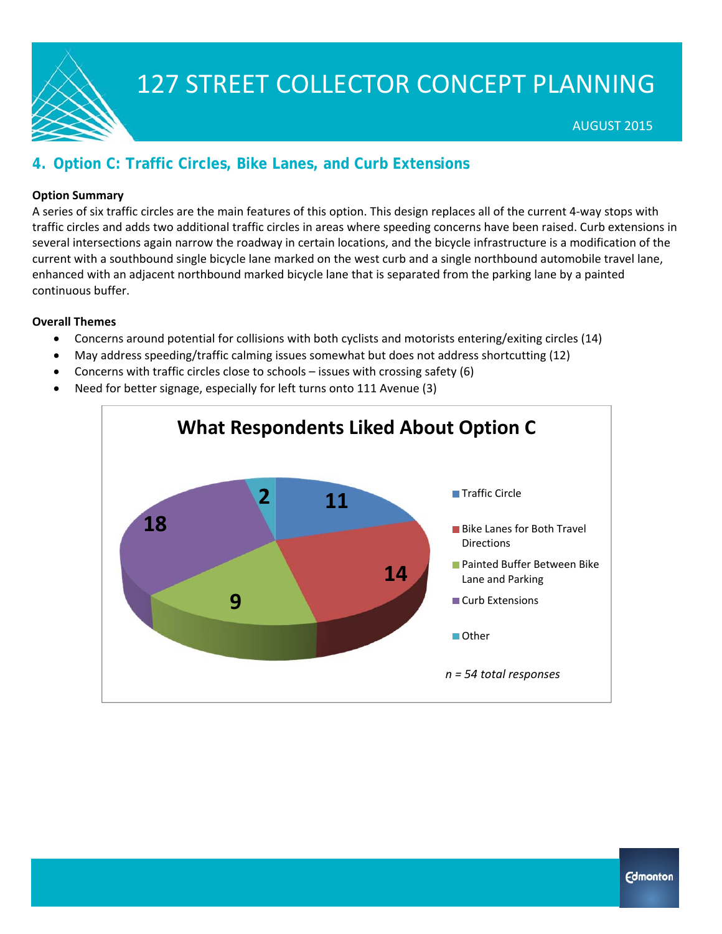

### **4. Option C: Traffic Circles, Bike Lanes, and Curb Extensions**

#### **Option Summary**

A series of six traffic circles are the main features of this option. This design replaces all of the current 4‐way stops with traffic circles and adds two additional traffic circles in areas where speeding concerns have been raised. Curb extensions in several intersections again narrow the roadway in certain locations, and the bicycle infrastructure is a modification of the current with a southbound single bicycle lane marked on the west curb and a single northbound automobile travel lane, enhanced with an adjacent northbound marked bicycle lane that is separated from the parking lane by a painted continuous buffer.

#### **Overall Themes**

- Concerns around potential for collisions with both cyclists and motorists entering/exiting circles (14)
- May address speeding/traffic calming issues somewhat but does not address shortcutting (12)
- Concerns with traffic circles close to schools issues with crossing safety (6)
- Need for better signage, especially for left turns onto 111 Avenue (3)

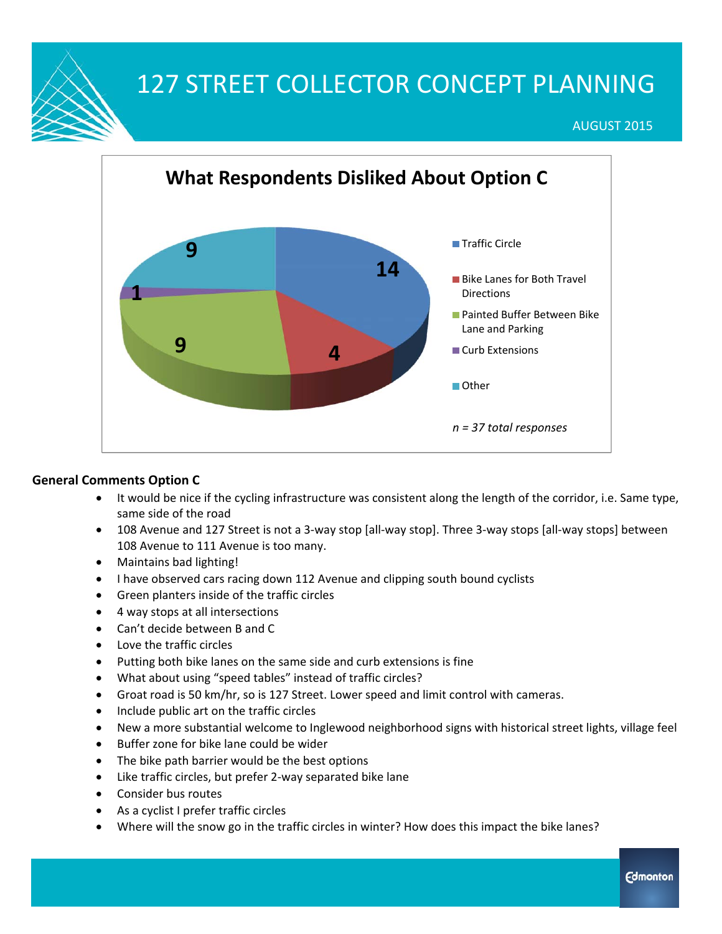AUGUST 2015



### **General Comments Option C**

- It would be nice if the cycling infrastructure was consistent along the length of the corridor, i.e. Same type, same side of the road
- 108 Avenue and 127 Street is not a 3-way stop [all-way stop]. Three 3-way stops [all-way stops] between 108 Avenue to 111 Avenue is too many.
- Maintains bad lighting!
- I have observed cars racing down 112 Avenue and clipping south bound cyclists
- Green planters inside of the traffic circles
- 4 way stops at all intersections
- Can't decide between B and C
- Love the traffic circles
- Putting both bike lanes on the same side and curb extensions is fine
- What about using "speed tables" instead of traffic circles?
- Groat road is 50 km/hr, so is 127 Street. Lower speed and limit control with cameras.
- Include public art on the traffic circles
- New a more substantial welcome to Inglewood neighborhood signs with historical street lights, village feel
- Buffer zone for bike lane could be wider
- The bike path barrier would be the best options
- Like traffic circles, but prefer 2‐way separated bike lane
- Consider bus routes
- As a cyclist I prefer traffic circles
- Where will the snow go in the traffic circles in winter? How does this impact the bike lanes?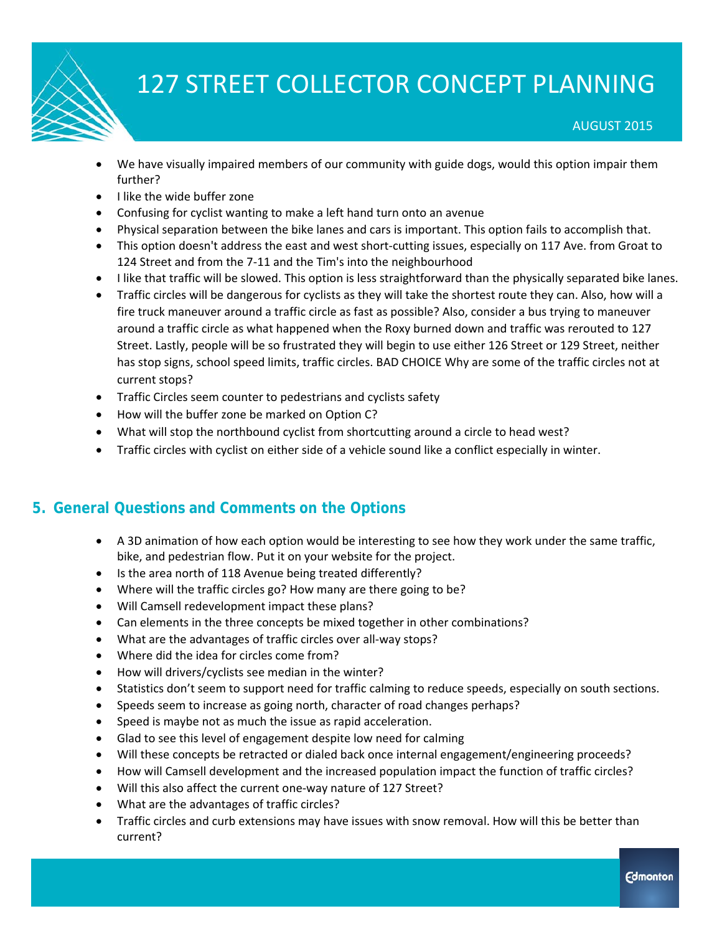

- We have visually impaired members of our community with guide dogs, would this option impair them further?
- I like the wide buffer zone
- Confusing for cyclist wanting to make a left hand turn onto an avenue
- Physical separation between the bike lanes and cars is important. This option fails to accomplish that.
- This option doesn't address the east and west short-cutting issues, especially on 117 Ave. from Groat to 124 Street and from the 7-11 and the Tim's into the neighbourhood
- I like that traffic will be slowed. This option is less straightforward than the physically separated bike lanes.
- Traffic circles will be dangerous for cyclists as they will take the shortest route they can. Also, how will a fire truck maneuver around a traffic circle as fast as possible? Also, consider a bus trying to maneuver around a traffic circle as what happened when the Roxy burned down and traffic was rerouted to 127 Street. Lastly, people will be so frustrated they will begin to use either 126 Street or 129 Street, neither has stop signs, school speed limits, traffic circles. BAD CHOICE Why are some of the traffic circles not at current stops?
- Traffic Circles seem counter to pedestrians and cyclists safety
- How will the buffer zone be marked on Option C?
- What will stop the northbound cyclist from shortcutting around a circle to head west?
- Traffic circles with cyclist on either side of a vehicle sound like a conflict especially in winter.

### **5. General Questions and Comments on the Options**

- A 3D animation of how each option would be interesting to see how they work under the same traffic, bike, and pedestrian flow. Put it on your website for the project.
- Is the area north of 118 Avenue being treated differently?
- Where will the traffic circles go? How many are there going to be?
- Will Camsell redevelopment impact these plans?
- Can elements in the three concepts be mixed together in other combinations?
- What are the advantages of traffic circles over all-way stops?
- Where did the idea for circles come from?
- How will drivers/cyclists see median in the winter?
- Statistics don't seem to support need for traffic calming to reduce speeds, especially on south sections.
- Speeds seem to increase as going north, character of road changes perhaps?
- Speed is maybe not as much the issue as rapid acceleration.
- Glad to see this level of engagement despite low need for calming
- Will these concepts be retracted or dialed back once internal engagement/engineering proceeds?
- How will Camsell development and the increased population impact the function of traffic circles?
- Will this also affect the current one-way nature of 127 Street?
- What are the advantages of traffic circles?
- Traffic circles and curb extensions may have issues with snow removal. How will this be better than current?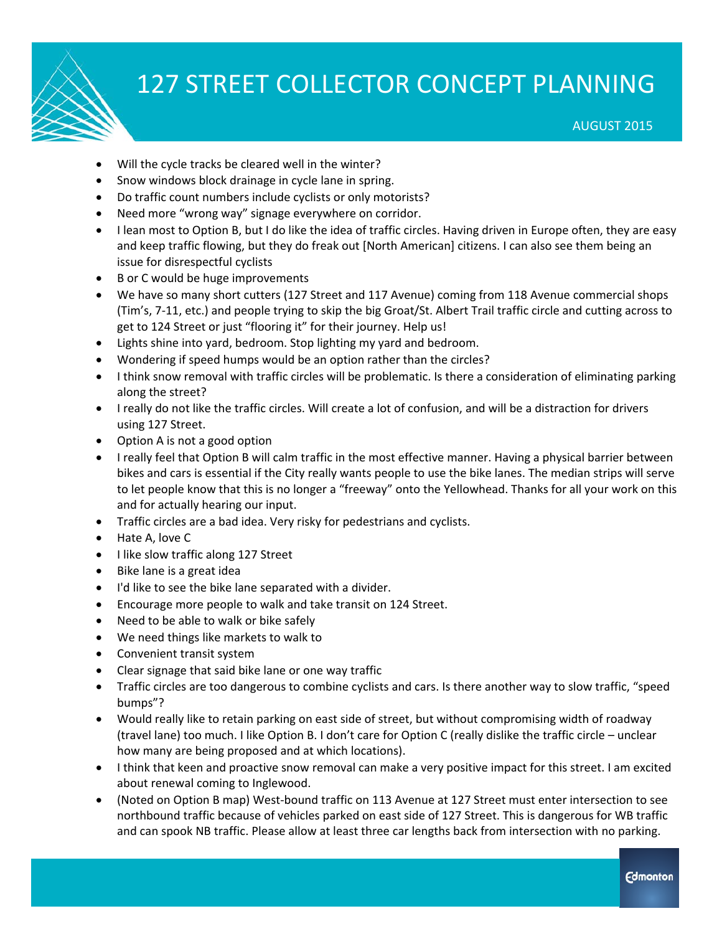

AUGUST 2015

- Will the cycle tracks be cleared well in the winter?
- Snow windows block drainage in cycle lane in spring.
- Do traffic count numbers include cyclists or only motorists?
- Need more "wrong way" signage everywhere on corridor.
- I lean most to Option B, but I do like the idea of traffic circles. Having driven in Europe often, they are easy and keep traffic flowing, but they do freak out [North American] citizens. I can also see them being an issue for disrespectful cyclists
- B or C would be huge improvements
- We have so many short cutters (127 Street and 117 Avenue) coming from 118 Avenue commercial shops (Tim's, 7‐11, etc.) and people trying to skip the big Groat/St. Albert Trail traffic circle and cutting across to get to 124 Street or just "flooring it" for their journey. Help us!
- Lights shine into yard, bedroom. Stop lighting my yard and bedroom.
- Wondering if speed humps would be an option rather than the circles?
- I think snow removal with traffic circles will be problematic. Is there a consideration of eliminating parking along the street?
- I really do not like the traffic circles. Will create a lot of confusion, and will be a distraction for drivers using 127 Street.
- Option A is not a good option
- I really feel that Option B will calm traffic in the most effective manner. Having a physical barrier between bikes and cars is essential if the City really wants people to use the bike lanes. The median strips will serve to let people know that this is no longer a "freeway" onto the Yellowhead. Thanks for all your work on this and for actually hearing our input.
- Traffic circles are a bad idea. Very risky for pedestrians and cyclists.
- Hate A, love C
- I like slow traffic along 127 Street
- Bike lane is a great idea
- I'd like to see the bike lane separated with a divider.
- Encourage more people to walk and take transit on 124 Street.
- Need to be able to walk or bike safely
- We need things like markets to walk to
- Convenient transit system
- Clear signage that said bike lane or one way traffic
- Traffic circles are too dangerous to combine cyclists and cars. Is there another way to slow traffic, "speed bumps"?
- Would really like to retain parking on east side of street, but without compromising width of roadway (travel lane) too much. I like Option B. I don't care for Option C (really dislike the traffic circle – unclear how many are being proposed and at which locations).
- I think that keen and proactive snow removal can make a very positive impact for this street. I am excited about renewal coming to Inglewood.
- (Noted on Option B map) West‐bound traffic on 113 Avenue at 127 Street must enter intersection to see northbound traffic because of vehicles parked on east side of 127 Street. This is dangerous for WB traffic and can spook NB traffic. Please allow at least three car lengths back from intersection with no parking.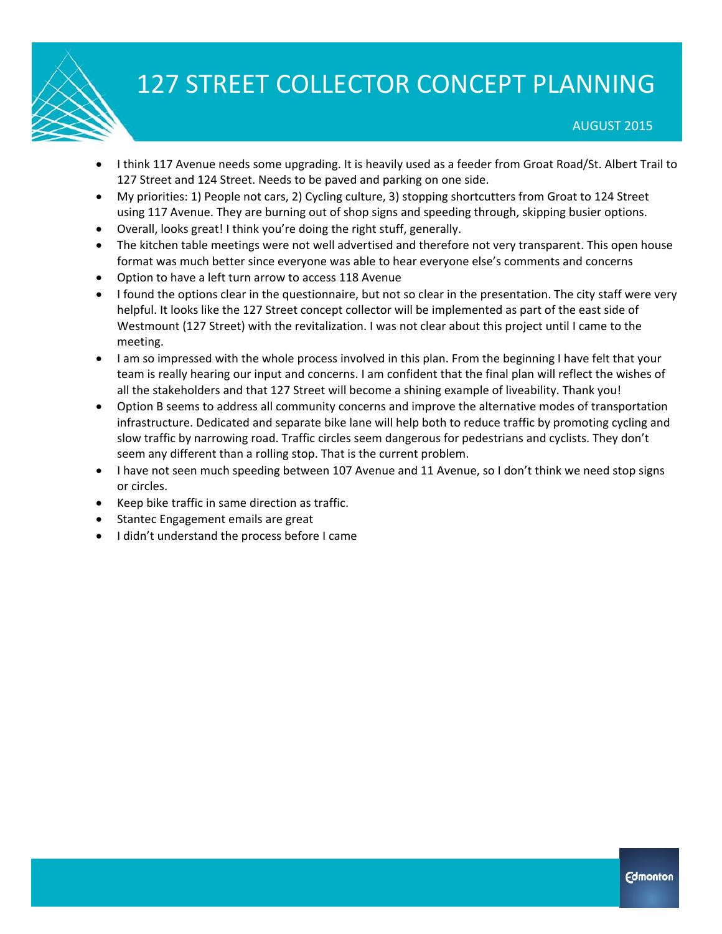- I think 117 Avenue needs some upgrading. It is heavily used as a feeder from Groat Road/St. Albert Trail to 127 Street and 124 Street. Needs to be paved and parking on one side.
- My priorities: 1) People not cars, 2) Cycling culture, 3) stopping shortcutters from Groat to 124 Street using 117 Avenue. They are burning out of shop signs and speeding through, skipping busier options.
- Overall, looks great! I think you're doing the right stuff, generally.
- The kitchen table meetings were not well advertised and therefore not very transparent. This open house format was much better since everyone was able to hear everyone else's comments and concerns
- Option to have a left turn arrow to access 118 Avenue
- I found the options clear in the questionnaire, but not so clear in the presentation. The city staff were very helpful. It looks like the 127 Street concept collector will be implemented as part of the east side of Westmount (127 Street) with the revitalization. I was not clear about this project until I came to the meeting.
- I am so impressed with the whole process involved in this plan. From the beginning I have felt that your team is really hearing our input and concerns. I am confident that the final plan will reflect the wishes of all the stakeholders and that 127 Street will become a shining example of liveability. Thank you!
- Option B seems to address all community concerns and improve the alternative modes of transportation infrastructure. Dedicated and separate bike lane will help both to reduce traffic by promoting cycling and slow traffic by narrowing road. Traffic circles seem dangerous for pedestrians and cyclists. They don't seem any different than a rolling stop. That is the current problem.
- I have not seen much speeding between 107 Avenue and 11 Avenue, so I don't think we need stop signs or circles.
- Keep bike traffic in same direction as traffic.
- Stantec Engagement emails are great
- I didn't understand the process before I came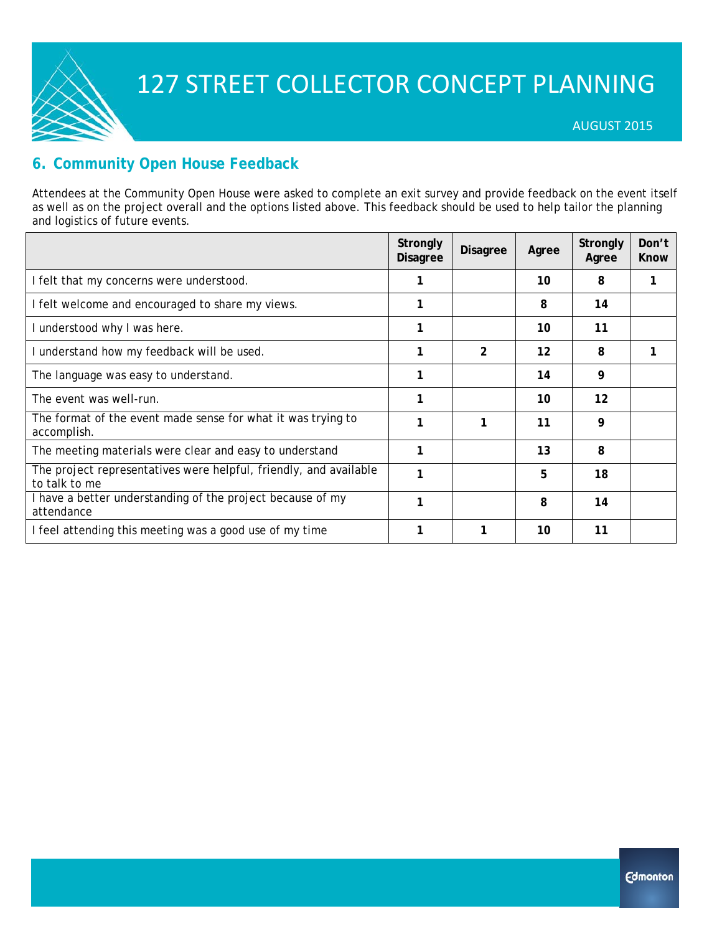

### **6. Community Open House Feedback**

Attendees at the Community Open House were asked to complete an exit survey and provide feedback on the event itself as well as on the project overall and the options listed above. This feedback should be used to help tailor the planning and logistics of future events.

|                                                                                    | Strongly<br><b>Disagree</b> | <b>Disagree</b> | Agree             | Strongly<br>Agree | Don't<br>Know |
|------------------------------------------------------------------------------------|-----------------------------|-----------------|-------------------|-------------------|---------------|
| I felt that my concerns were understood.                                           |                             |                 | 10                | 8                 |               |
| I felt welcome and encouraged to share my views.                                   |                             |                 | 8                 | 14                |               |
| I understood why I was here.                                                       |                             |                 | 10                | 11                |               |
| I understand how my feedback will be used.                                         |                             | $\overline{2}$  | $12 \overline{ }$ | 8                 |               |
| The language was easy to understand.                                               | 1                           |                 | 14                | 9                 |               |
| The event was well-run.                                                            |                             |                 | 10                | $12 \overline{ }$ |               |
| The format of the event made sense for what it was trying to<br>accomplish.        |                             | 1               | 11                | 9                 |               |
| The meeting materials were clear and easy to understand                            | 1                           |                 | 13                | 8                 |               |
| The project representatives were helpful, friendly, and available<br>to talk to me |                             |                 | 5                 | 18                |               |
| I have a better understanding of the project because of my<br>attendance           | 1                           |                 | 8                 | 14                |               |
| I feel attending this meeting was a good use of my time                            |                             | 1               | 10                | 11                |               |